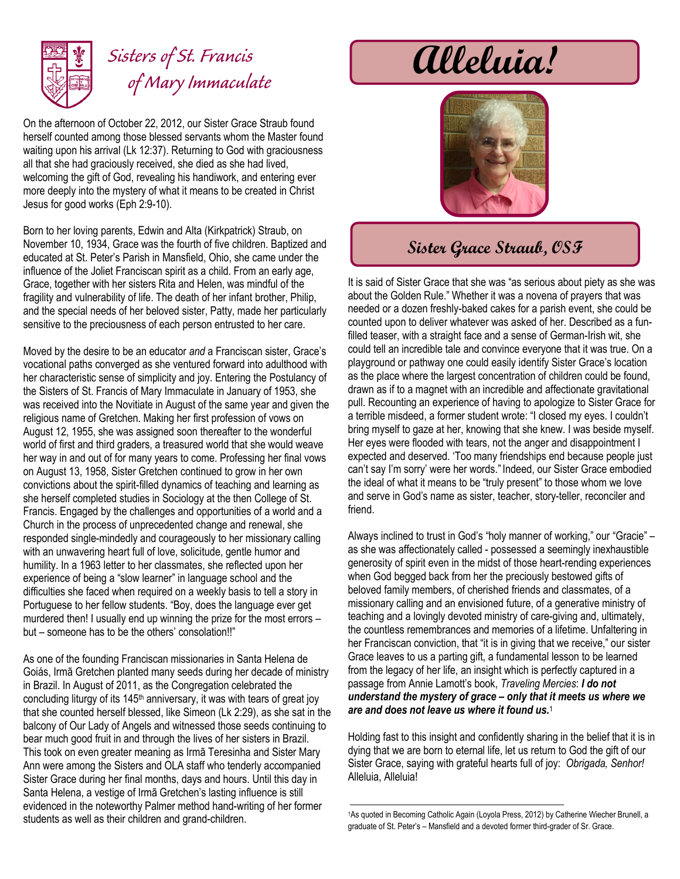

## *Sisters of St. Francis of Mary Immaculate*

On the afternoon of October 22, 2012, our Sister Grace Straub found herself counted among those blessed servants whom the Master found waiting upon his arrival (Lk 12:37). Returning to God with graciousness all that she had graciously received, she died as she had lived, welcoming the gift of God, revealing his handiwork, and entering ever more deeply into the mystery of what it means to be created in Christ Jesus for good works (Eph 2:9-10).

Born to her loving parents, Edwin and Alta (Kirkpatrick) Straub, on November 10, 1934, Grace was the fourth of five children. Baptized and educated at St. Peter's Parish in Mansfield, Ohio, she came under the influence of the Joliet Franciscan spirit as a child. From an early age, Grace, together with her sisters Rita and Helen, was mindful of the fragility and vulnerability of life. The death of her infant brother, Philip, and the special needs of her beloved sister, Patty, made her particularly sensitive to the preciousness of each person entrusted to her care.

Moved by the desire to be an educator *and* a Franciscan sister, Grace's vocational paths converged as she ventured forward into adulthood with her characteristic sense of simplicity and joy. Entering the Postulancy of the Sisters of St. Francis of Mary Immaculate in January of 1953, she was received into the Novitiate in August of the same year and given the religious name of Gretchen. Making her first profession of vows on August 12, 1955, she was assigned soon thereafter to the wonderful world of first and third graders, a treasured world that she would weave her way in and out of for many years to come. Professing her final vows on August 13, 1958, Sister Gretchen continued to grow in her own convictions about the spirit-filled dynamics of teaching and learning as she herself completed studies in Sociology at the then College of St. Francis. Engaged by the challenges and opportunities of a world and a Church in the process of unprecedented change and renewal, she responded single-mindedly and courageously to her missionary calling with an unwavering heart full of love, solicitude, gentle humor and humility. In a 1963 letter to her classmates, she reflected upon her experience of being a "slow learner" in language school and the difficulties she faced when required on a weekly basis to tell a story in Portuguese to her fellow students. "Boy, does the language ever get murdered then! I usually end up winning the prize for the most errors – but – someone has to be the others' consolation!!"

As one of the founding Franciscan missionaries in Santa Helena de Goiás, Irmã Gretchen planted many seeds during her decade of ministry in Brazil. In August of 2011, as the Congregation celebrated the concluding liturgy of its 145th anniversary, it was with tears of great joy that she counted herself blessed, like Simeon (Lk 2:29), as she sat in the balcony of Our Lady of Angels and witnessed those seeds continuing to bear much good fruit in and through the lives of her sisters in Brazil. This took on even greater meaning as Irmã Teresinha and Sister Mary Ann were among the Sisters and OLA staff who tenderly accompanied Sister Grace during her final months, days and hours. Until this day in Santa Helena, a vestige of Irmã Gretchen's lasting influence is still evidenced in the noteworthy Palmer method hand-writing of her former students as well as their children and grand-children.

**Alleluia!**



## **Sister Grace Straub, OSF**

It is said of Sister Grace that she was "as serious about piety as she was about the Golden Rule." Whether it was a novena of prayers that was needed or a dozen freshly-baked cakes for a parish event, she could be counted upon to deliver whatever was asked of her. Described as a funfilled teaser, with a straight face and a sense of German-Irish wit, she could tell an incredible tale and convince everyone that it was true. On a playground or pathway one could easily identify Sister Grace's location as the place where the largest concentration of children could be found, drawn as if to a magnet with an incredible and affectionate gravitational pull. Recounting an experience of having to apologize to Sister Grace for a terrible misdeed, a former student wrote: "I closed my eyes. I couldn't bring myself to gaze at her, knowing that she knew. I was beside myself. Her eyes were flooded with tears, not the anger and disappointment I expected and deserved. 'Too many friendships end because people just can't say I'm sorry' were her words." Indeed, our Sister Grace embodied the ideal of what it means to be "truly present" to those whom we love and serve in God's name as sister, teacher, story-teller, reconciler and friend.

Always inclined to trust in God's "holy manner of working," our "Gracie" – as she was affectionately called - possessed a seemingly inexhaustible generosity of spirit even in the midst of those heart-rending experiences when God begged back from her the preciously bestowed gifts of beloved family members, of cherished friends and classmates, of a missionary calling and an envisioned future, of a generative ministry of teaching and a lovingly devoted ministry of care-giving and, ultimately, the countless remembrances and memories of a lifetime. Unfaltering in her Franciscan conviction, that "it is in giving that we receive," our sister Grace leaves to us a parting gift, a fundamental lesson to be learned from the legacy of her life, an insight which is perfectly captured in a passage from Annie Lamott's book, *Traveling Mercies*: *I do not understand the mystery of grace – only that it meets us where we are and does not leave us where it found us.*<sup>1</sup>

Holding fast to this insight and confidently sharing in the belief that it is in dying that we are born to eternal life, let us return to God the gift of our Sister Grace, saying with grateful hearts full of joy: *Obrigada, Senhor!*  Alleluia, Alleluia!

<sup>1</sup>As quoted in Becoming Catholic Again (Loyola Press, 2012) by Catherine Wiecher Brunell, a graduate of St. Peter's – Mansfield and a devoted former third-grader of Sr. Grace.